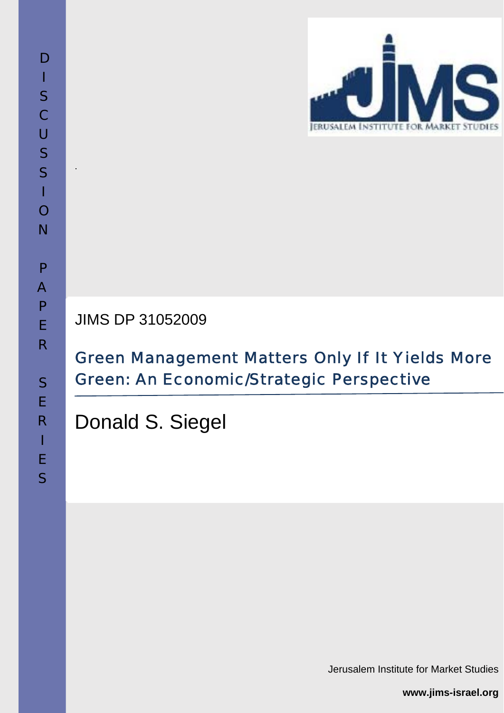

JIMS DP 31052009

# Green Management Matters Only If It Yields More Green: An Economic/Strategic Perspective

Donald S. Siegel

Jerusalem Institute for Market Studies

**www.jims-israel.org**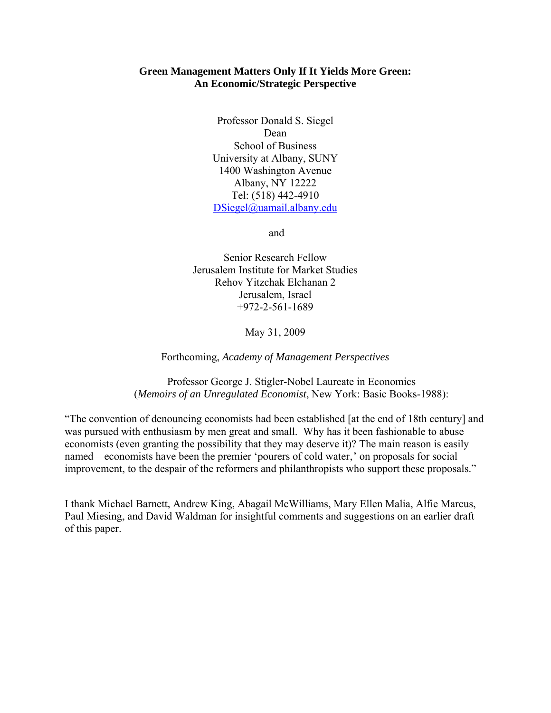## **Green Management Matters Only If It Yields More Green: An Economic/Strategic Perspective**

Professor Donald S. Siegel Dean School of Business University at Albany, SUNY 1400 Washington Avenue Albany, NY 12222 Tel: (518) 442-4910 DSiegel@uamail.albany.edu

and

Senior Research Fellow Jerusalem Institute for Market Studies Rehov Yitzchak Elchanan 2 Jerusalem, Israel +972-2-561-1689

May 31, 2009

Forthcoming, *Academy of Management Perspectives* 

Professor George J. Stigler-Nobel Laureate in Economics (*Memoirs of an Unregulated Economist*, New York: Basic Books-1988):

"The convention of denouncing economists had been established [at the end of 18th century] and was pursued with enthusiasm by men great and small. Why has it been fashionable to abuse economists (even granting the possibility that they may deserve it)? The main reason is easily named—economists have been the premier 'pourers of cold water,' on proposals for social improvement, to the despair of the reformers and philanthropists who support these proposals."

I thank Michael Barnett, Andrew King, Abagail McWilliams, Mary Ellen Malia, Alfie Marcus, Paul Miesing, and David Waldman for insightful comments and suggestions on an earlier draft of this paper.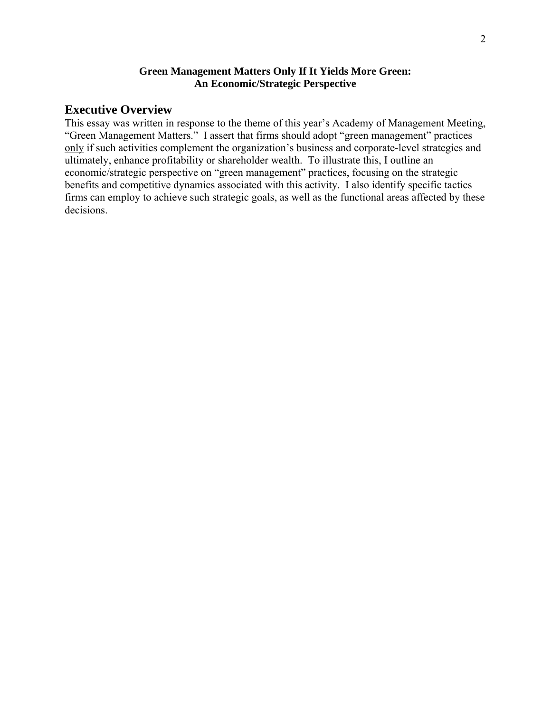## **Green Management Matters Only If It Yields More Green: An Economic/Strategic Perspective**

# **Executive Overview**

This essay was written in response to the theme of this year's Academy of Management Meeting, "Green Management Matters." I assert that firms should adopt "green management" practices only if such activities complement the organization's business and corporate-level strategies and ultimately, enhance profitability or shareholder wealth. To illustrate this, I outline an economic/strategic perspective on "green management" practices, focusing on the strategic benefits and competitive dynamics associated with this activity. I also identify specific tactics firms can employ to achieve such strategic goals, as well as the functional areas affected by these decisions.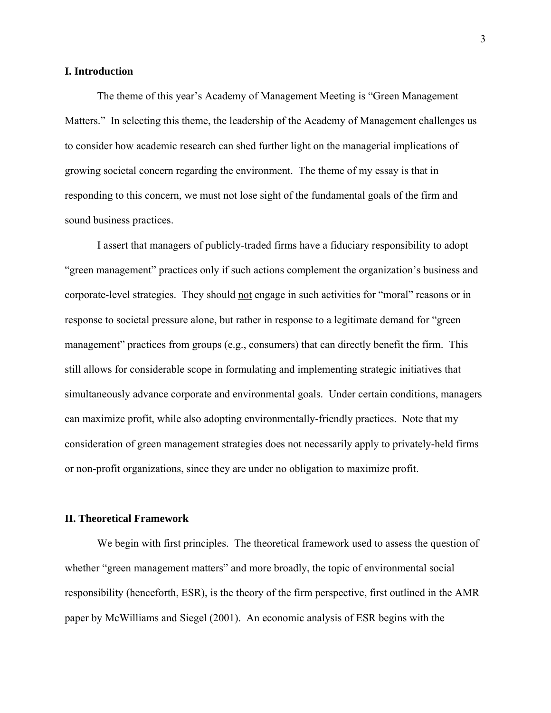### **I. Introduction**

 The theme of this year's Academy of Management Meeting is "Green Management Matters." In selecting this theme, the leadership of the Academy of Management challenges us to consider how academic research can shed further light on the managerial implications of growing societal concern regarding the environment. The theme of my essay is that in responding to this concern, we must not lose sight of the fundamental goals of the firm and sound business practices.

 I assert that managers of publicly-traded firms have a fiduciary responsibility to adopt "green management" practices only if such actions complement the organization's business and corporate-level strategies. They should not engage in such activities for "moral" reasons or in response to societal pressure alone, but rather in response to a legitimate demand for "green management" practices from groups (e.g., consumers) that can directly benefit the firm. This still allows for considerable scope in formulating and implementing strategic initiatives that simultaneously advance corporate and environmental goals. Under certain conditions, managers can maximize profit, while also adopting environmentally-friendly practices. Note that my consideration of green management strategies does not necessarily apply to privately-held firms or non-profit organizations, since they are under no obligation to maximize profit.

#### **II. Theoretical Framework**

 We begin with first principles. The theoretical framework used to assess the question of whether "green management matters" and more broadly, the topic of environmental social responsibility (henceforth, ESR), is the theory of the firm perspective, first outlined in the AMR paper by McWilliams and Siegel (2001). An economic analysis of ESR begins with the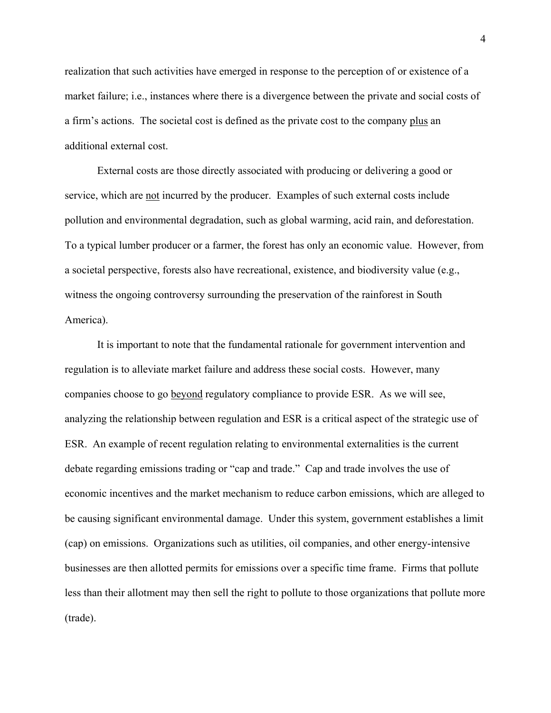realization that such activities have emerged in response to the perception of or existence of a market failure; i.e., instances where there is a divergence between the private and social costs of a firm's actions. The societal cost is defined as the private cost to the company plus an additional external cost.

 External costs are those directly associated with producing or delivering a good or service, which are not incurred by the producer. Examples of such external costs include pollution and environmental degradation, such as global warming, acid rain, and deforestation. To a typical lumber producer or a farmer, the forest has only an economic value. However, from a societal perspective, forests also have recreational, existence, and biodiversity value (e.g., witness the ongoing controversy surrounding the preservation of the rainforest in South America).

 It is important to note that the fundamental rationale for government intervention and regulation is to alleviate market failure and address these social costs. However, many companies choose to go beyond regulatory compliance to provide ESR. As we will see, analyzing the relationship between regulation and ESR is a critical aspect of the strategic use of ESR. An example of recent regulation relating to environmental externalities is the current debate regarding emissions trading or "cap and trade." Cap and trade involves the use of economic incentives and the market mechanism to reduce carbon emissions, which are alleged to be causing significant environmental damage. Under this system, government establishes a limit (cap) on emissions. Organizations such as utilities, oil companies, and other energy-intensive businesses are then allotted permits for emissions over a specific time frame. Firms that pollute less than their allotment may then sell the right to pollute to those organizations that pollute more (trade).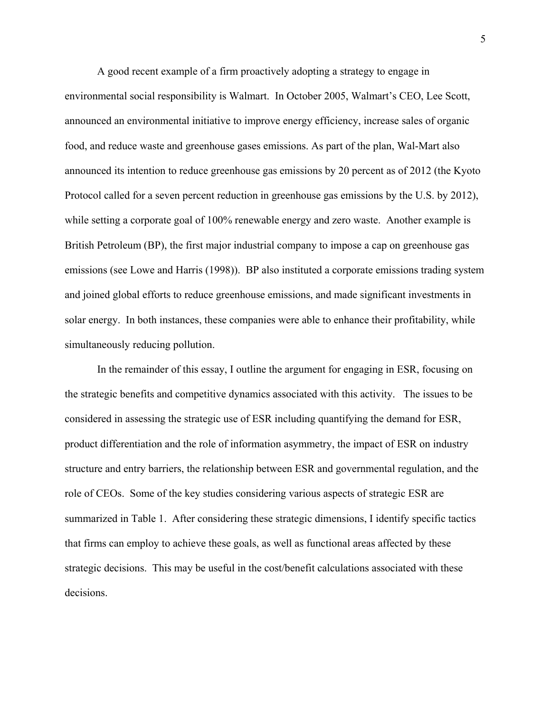A good recent example of a firm proactively adopting a strategy to engage in environmental social responsibility is Walmart. In October 2005, Walmart's CEO, Lee Scott, announced an environmental initiative to improve energy efficiency, increase sales of organic food, and reduce waste and greenhouse gases emissions. As part of the plan, Wal-Mart also announced its intention to reduce greenhouse gas emissions by 20 percent as of 2012 (the Kyoto Protocol called for a seven percent reduction in greenhouse gas emissions by the U.S. by 2012), while setting a corporate goal of 100% renewable energy and zero waste. Another example is British Petroleum (BP), the first major industrial company to impose a cap on greenhouse gas emissions (see Lowe and Harris (1998)). BP also instituted a corporate emissions trading system and joined global efforts to reduce greenhouse emissions, and made significant investments in solar energy. In both instances, these companies were able to enhance their profitability, while simultaneously reducing pollution.

 In the remainder of this essay, I outline the argument for engaging in ESR, focusing on the strategic benefits and competitive dynamics associated with this activity. The issues to be considered in assessing the strategic use of ESR including quantifying the demand for ESR, product differentiation and the role of information asymmetry, the impact of ESR on industry structure and entry barriers, the relationship between ESR and governmental regulation, and the role of CEOs. Some of the key studies considering various aspects of strategic ESR are summarized in Table 1. After considering these strategic dimensions, I identify specific tactics that firms can employ to achieve these goals, as well as functional areas affected by these strategic decisions. This may be useful in the cost/benefit calculations associated with these decisions.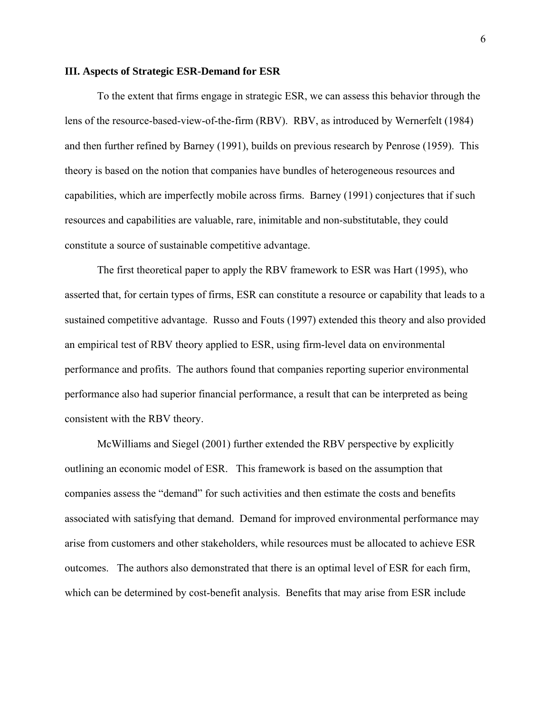#### **III. Aspects of Strategic ESR-Demand for ESR**

 To the extent that firms engage in strategic ESR, we can assess this behavior through the lens of the resource-based-view-of-the-firm (RBV). RBV, as introduced by Wernerfelt (1984) and then further refined by Barney (1991), builds on previous research by Penrose (1959). This theory is based on the notion that companies have bundles of heterogeneous resources and capabilities, which are imperfectly mobile across firms. Barney (1991) conjectures that if such resources and capabilities are valuable, rare, inimitable and non-substitutable, they could constitute a source of sustainable competitive advantage.

The first theoretical paper to apply the RBV framework to ESR was Hart (1995), who asserted that, for certain types of firms, ESR can constitute a resource or capability that leads to a sustained competitive advantage. Russo and Fouts (1997) extended this theory and also provided an empirical test of RBV theory applied to ESR, using firm-level data on environmental performance and profits. The authors found that companies reporting superior environmental performance also had superior financial performance, a result that can be interpreted as being consistent with the RBV theory.

 McWilliams and Siegel (2001) further extended the RBV perspective by explicitly outlining an economic model of ESR. This framework is based on the assumption that companies assess the "demand" for such activities and then estimate the costs and benefits associated with satisfying that demand. Demand for improved environmental performance may arise from customers and other stakeholders, while resources must be allocated to achieve ESR outcomes. The authors also demonstrated that there is an optimal level of ESR for each firm, which can be determined by cost-benefit analysis. Benefits that may arise from ESR include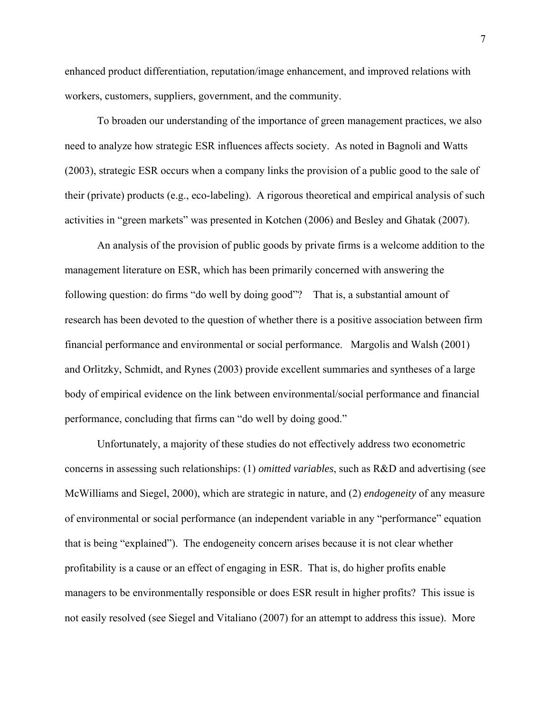enhanced product differentiation, reputation/image enhancement, and improved relations with workers, customers, suppliers, government, and the community.

 To broaden our understanding of the importance of green management practices, we also need to analyze how strategic ESR influences affects society. As noted in Bagnoli and Watts (2003), strategic ESR occurs when a company links the provision of a public good to the sale of their (private) products (e.g., eco-labeling). A rigorous theoretical and empirical analysis of such activities in "green markets" was presented in Kotchen (2006) and Besley and Ghatak (2007).

An analysis of the provision of public goods by private firms is a welcome addition to the management literature on ESR, which has been primarily concerned with answering the following question: do firms "do well by doing good"? That is, a substantial amount of research has been devoted to the question of whether there is a positive association between firm financial performance and environmental or social performance. Margolis and Walsh (2001) and Orlitzky, Schmidt, and Rynes (2003) provide excellent summaries and syntheses of a large body of empirical evidence on the link between environmental/social performance and financial performance, concluding that firms can "do well by doing good."

Unfortunately, a majority of these studies do not effectively address two econometric concerns in assessing such relationships: (1) *omitted variables*, such as R&D and advertising (see McWilliams and Siegel, 2000), which are strategic in nature, and (2) *endogeneity* of any measure of environmental or social performance (an independent variable in any "performance" equation that is being "explained"). The endogeneity concern arises because it is not clear whether profitability is a cause or an effect of engaging in ESR. That is, do higher profits enable managers to be environmentally responsible or does ESR result in higher profits? This issue is not easily resolved (see Siegel and Vitaliano (2007) for an attempt to address this issue). More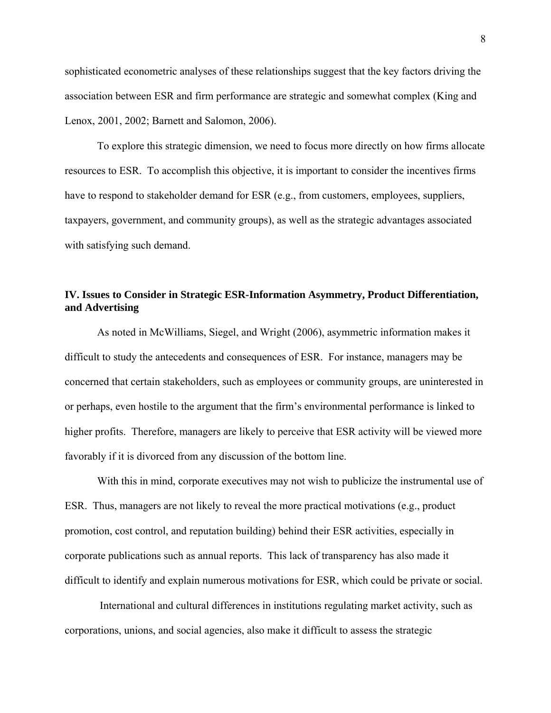sophisticated econometric analyses of these relationships suggest that the key factors driving the association between ESR and firm performance are strategic and somewhat complex (King and Lenox, 2001, 2002; Barnett and Salomon, 2006).

To explore this strategic dimension, we need to focus more directly on how firms allocate resources to ESR. To accomplish this objective, it is important to consider the incentives firms have to respond to stakeholder demand for ESR (e.g., from customers, employees, suppliers, taxpayers, government, and community groups), as well as the strategic advantages associated with satisfying such demand.

## **IV. Issues to Consider in Strategic ESR-Information Asymmetry, Product Differentiation, and Advertising**

 As noted in McWilliams, Siegel, and Wright (2006), asymmetric information makes it difficult to study the antecedents and consequences of ESR. For instance, managers may be concerned that certain stakeholders, such as employees or community groups, are uninterested in or perhaps, even hostile to the argument that the firm's environmental performance is linked to higher profits. Therefore, managers are likely to perceive that ESR activity will be viewed more favorably if it is divorced from any discussion of the bottom line.

With this in mind, corporate executives may not wish to publicize the instrumental use of ESR. Thus, managers are not likely to reveal the more practical motivations (e.g., product promotion, cost control, and reputation building) behind their ESR activities, especially in corporate publications such as annual reports. This lack of transparency has also made it difficult to identify and explain numerous motivations for ESR, which could be private or social.

 International and cultural differences in institutions regulating market activity, such as corporations, unions, and social agencies, also make it difficult to assess the strategic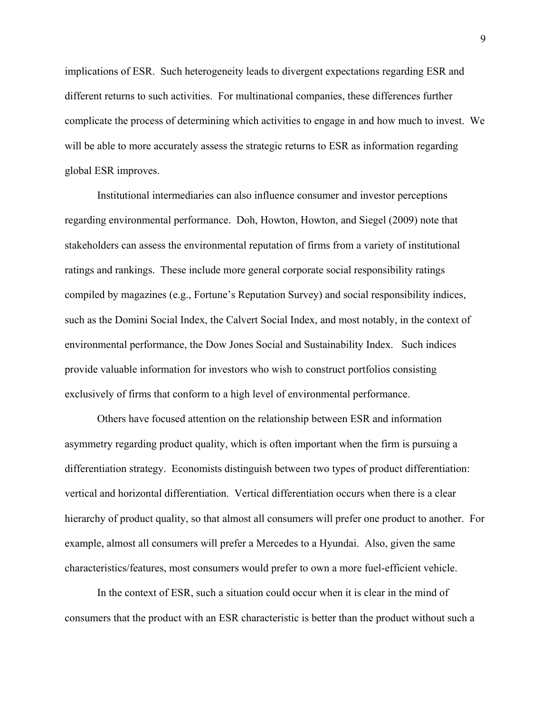implications of ESR. Such heterogeneity leads to divergent expectations regarding ESR and different returns to such activities. For multinational companies, these differences further complicate the process of determining which activities to engage in and how much to invest. We will be able to more accurately assess the strategic returns to ESR as information regarding global ESR improves.

Institutional intermediaries can also influence consumer and investor perceptions regarding environmental performance. Doh, Howton, Howton, and Siegel (2009) note that stakeholders can assess the environmental reputation of firms from a variety of institutional ratings and rankings. These include more general corporate social responsibility ratings compiled by magazines (e.g., Fortune's Reputation Survey) and social responsibility indices, such as the Domini Social Index, the Calvert Social Index, and most notably, in the context of environmental performance, the Dow Jones Social and Sustainability Index. Such indices provide valuable information for investors who wish to construct portfolios consisting exclusively of firms that conform to a high level of environmental performance.

Others have focused attention on the relationship between ESR and information asymmetry regarding product quality, which is often important when the firm is pursuing a differentiation strategy. Economists distinguish between two types of product differentiation: vertical and horizontal differentiation. Vertical differentiation occurs when there is a clear hierarchy of product quality, so that almost all consumers will prefer one product to another. For example, almost all consumers will prefer a Mercedes to a Hyundai. Also, given the same characteristics/features, most consumers would prefer to own a more fuel-efficient vehicle.

In the context of ESR, such a situation could occur when it is clear in the mind of consumers that the product with an ESR characteristic is better than the product without such a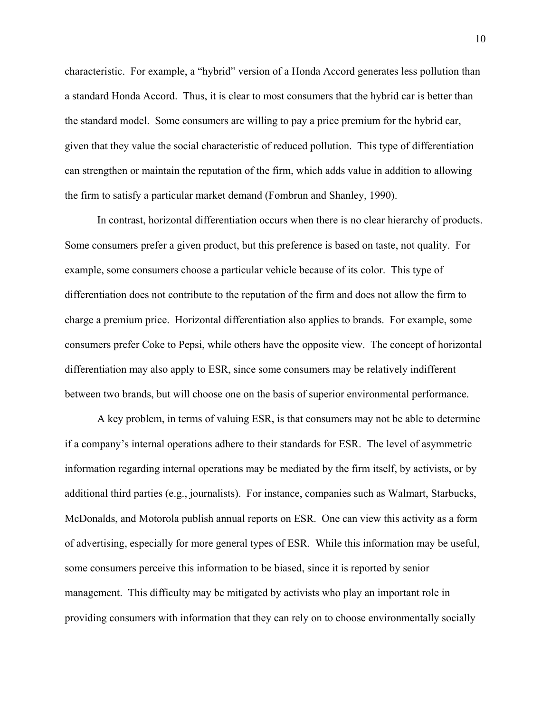characteristic. For example, a "hybrid" version of a Honda Accord generates less pollution than a standard Honda Accord. Thus, it is clear to most consumers that the hybrid car is better than the standard model. Some consumers are willing to pay a price premium for the hybrid car, given that they value the social characteristic of reduced pollution. This type of differentiation can strengthen or maintain the reputation of the firm, which adds value in addition to allowing the firm to satisfy a particular market demand (Fombrun and Shanley, 1990).

In contrast, horizontal differentiation occurs when there is no clear hierarchy of products. Some consumers prefer a given product, but this preference is based on taste, not quality. For example, some consumers choose a particular vehicle because of its color. This type of differentiation does not contribute to the reputation of the firm and does not allow the firm to charge a premium price. Horizontal differentiation also applies to brands. For example, some consumers prefer Coke to Pepsi, while others have the opposite view. The concept of horizontal differentiation may also apply to ESR, since some consumers may be relatively indifferent between two brands, but will choose one on the basis of superior environmental performance.

A key problem, in terms of valuing ESR, is that consumers may not be able to determine if a company's internal operations adhere to their standards for ESR. The level of asymmetric information regarding internal operations may be mediated by the firm itself, by activists, or by additional third parties (e.g., journalists). For instance, companies such as Walmart, Starbucks, McDonalds, and Motorola publish annual reports on ESR. One can view this activity as a form of advertising, especially for more general types of ESR. While this information may be useful, some consumers perceive this information to be biased, since it is reported by senior management. This difficulty may be mitigated by activists who play an important role in providing consumers with information that they can rely on to choose environmentally socially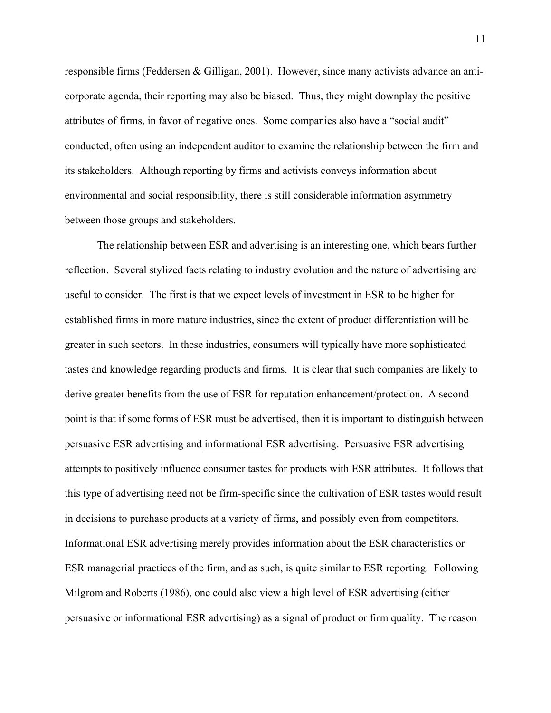responsible firms (Feddersen & Gilligan, 2001). However, since many activists advance an anticorporate agenda, their reporting may also be biased. Thus, they might downplay the positive attributes of firms, in favor of negative ones. Some companies also have a "social audit" conducted, often using an independent auditor to examine the relationship between the firm and its stakeholders. Although reporting by firms and activists conveys information about environmental and social responsibility, there is still considerable information asymmetry between those groups and stakeholders.

The relationship between ESR and advertising is an interesting one, which bears further reflection. Several stylized facts relating to industry evolution and the nature of advertising are useful to consider. The first is that we expect levels of investment in ESR to be higher for established firms in more mature industries, since the extent of product differentiation will be greater in such sectors. In these industries, consumers will typically have more sophisticated tastes and knowledge regarding products and firms. It is clear that such companies are likely to derive greater benefits from the use of ESR for reputation enhancement/protection. A second point is that if some forms of ESR must be advertised, then it is important to distinguish between persuasive ESR advertising and informational ESR advertising. Persuasive ESR advertising attempts to positively influence consumer tastes for products with ESR attributes. It follows that this type of advertising need not be firm-specific since the cultivation of ESR tastes would result in decisions to purchase products at a variety of firms, and possibly even from competitors. Informational ESR advertising merely provides information about the ESR characteristics or ESR managerial practices of the firm, and as such, is quite similar to ESR reporting. Following Milgrom and Roberts (1986), one could also view a high level of ESR advertising (either persuasive or informational ESR advertising) as a signal of product or firm quality. The reason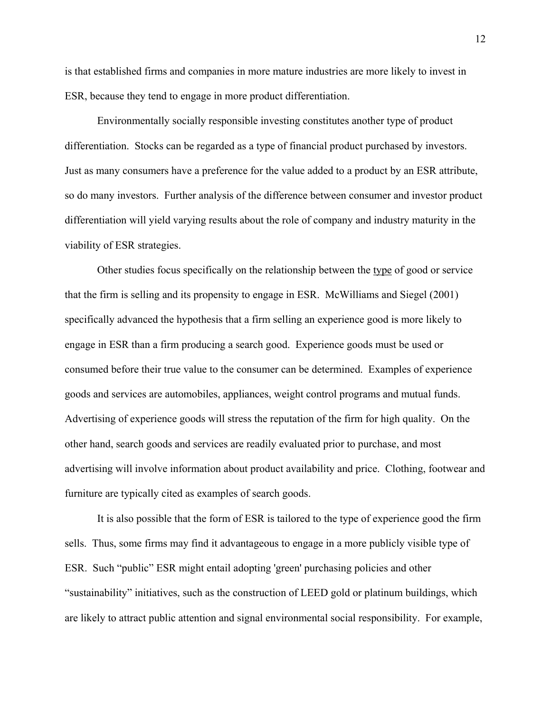is that established firms and companies in more mature industries are more likely to invest in ESR, because they tend to engage in more product differentiation.

Environmentally socially responsible investing constitutes another type of product differentiation. Stocks can be regarded as a type of financial product purchased by investors. Just as many consumers have a preference for the value added to a product by an ESR attribute, so do many investors. Further analysis of the difference between consumer and investor product differentiation will yield varying results about the role of company and industry maturity in the viability of ESR strategies.

Other studies focus specifically on the relationship between the type of good or service that the firm is selling and its propensity to engage in ESR. McWilliams and Siegel (2001) specifically advanced the hypothesis that a firm selling an experience good is more likely to engage in ESR than a firm producing a search good. Experience goods must be used or consumed before their true value to the consumer can be determined. Examples of experience goods and services are automobiles, appliances, weight control programs and mutual funds. Advertising of experience goods will stress the reputation of the firm for high quality. On the other hand, search goods and services are readily evaluated prior to purchase, and most advertising will involve information about product availability and price. Clothing, footwear and furniture are typically cited as examples of search goods.

It is also possible that the form of ESR is tailored to the type of experience good the firm sells. Thus, some firms may find it advantageous to engage in a more publicly visible type of ESR. Such "public" ESR might entail adopting 'green' purchasing policies and other "sustainability" initiatives, such as the construction of LEED gold or platinum buildings, which are likely to attract public attention and signal environmental social responsibility. For example,

12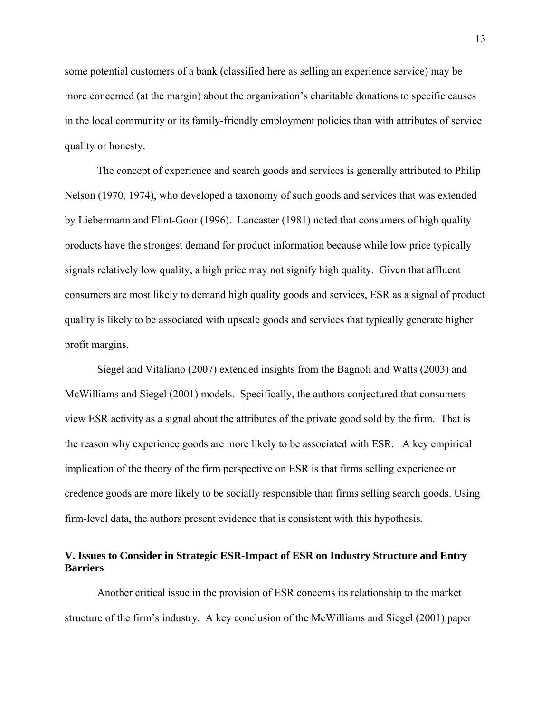some potential customers of a bank (classified here as selling an experience service) may be more concerned (at the margin) about the organization's charitable donations to specific causes in the local community or its family-friendly employment policies than with attributes of service quality or honesty.

The concept of experience and search goods and services is generally attributed to Philip Nelson (1970, 1974), who developed a taxonomy of such goods and services that was extended by Liebermann and Flint-Goor (1996). Lancaster (1981) noted that consumers of high quality products have the strongest demand for product information because while low price typically signals relatively low quality, a high price may not signify high quality. Given that affluent consumers are most likely to demand high quality goods and services, ESR as a signal of product quality is likely to be associated with upscale goods and services that typically generate higher profit margins.

 Siegel and Vitaliano (2007) extended insights from the Bagnoli and Watts (2003) and McWilliams and Siegel (2001) models. Specifically, the authors conjectured that consumers view ESR activity as a signal about the attributes of the private good sold by the firm. That is the reason why experience goods are more likely to be associated with ESR. A key empirical implication of the theory of the firm perspective on ESR is that firms selling experience or credence goods are more likely to be socially responsible than firms selling search goods. Using firm-level data, the authors present evidence that is consistent with this hypothesis.

# **V. Issues to Consider in Strategic ESR-Impact of ESR on Industry Structure and Entry Barriers**

Another critical issue in the provision of ESR concerns its relationship to the market structure of the firm's industry. A key conclusion of the McWilliams and Siegel (2001) paper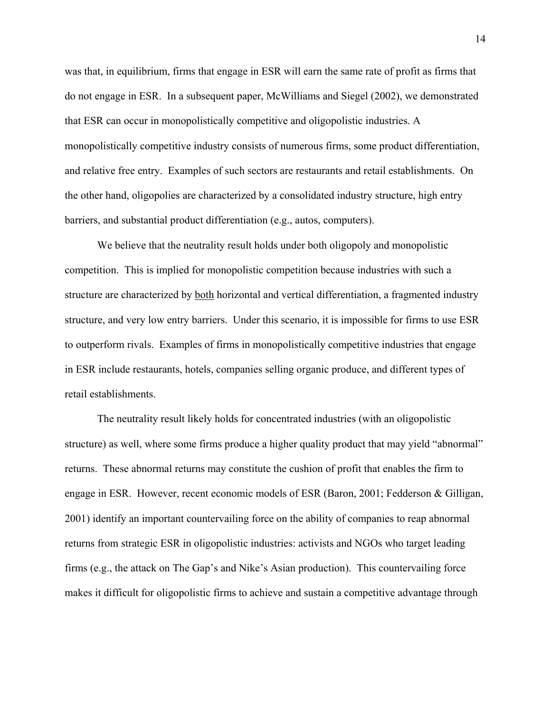was that, in equilibrium, firms that engage in ESR will earn the same rate of profit as firms that do not engage in ESR. In a subsequent paper, McWilliams and Siegel (2002), we demonstrated that ESR can occur in monopolistically competitive and oligopolistic industries. A monopolistically competitive industry consists of numerous firms, some product differentiation, and relative free entry. Examples of such sectors are restaurants and retail establishments. On the other hand, oligopolies are characterized by a consolidated industry structure, high entry barriers, and substantial product differentiation (e.g., autos, computers).

We believe that the neutrality result holds under both oligopoly and monopolistic competition. This is implied for monopolistic competition because industries with such a structure are characterized by both horizontal and vertical differentiation, a fragmented industry structure, and very low entry barriers. Under this scenario, it is impossible for firms to use ESR to outperform rivals. Examples of firms in monopolistically competitive industries that engage in ESR include restaurants, hotels, companies selling organic produce, and different types of retail establishments.

 The neutrality result likely holds for concentrated industries (with an oligopolistic structure) as well, where some firms produce a higher quality product that may yield "abnormal" returns. These abnormal returns may constitute the cushion of profit that enables the firm to engage in ESR. However, recent economic models of ESR (Baron, 2001; Fedderson & Gilligan, 2001) identify an important countervailing force on the ability of companies to reap abnormal returns from strategic ESR in oligopolistic industries: activists and NGOs who target leading firms (e.g., the attack on The Gap's and Nike's Asian production). This countervailing force makes it difficult for oligopolistic firms to achieve and sustain a competitive advantage through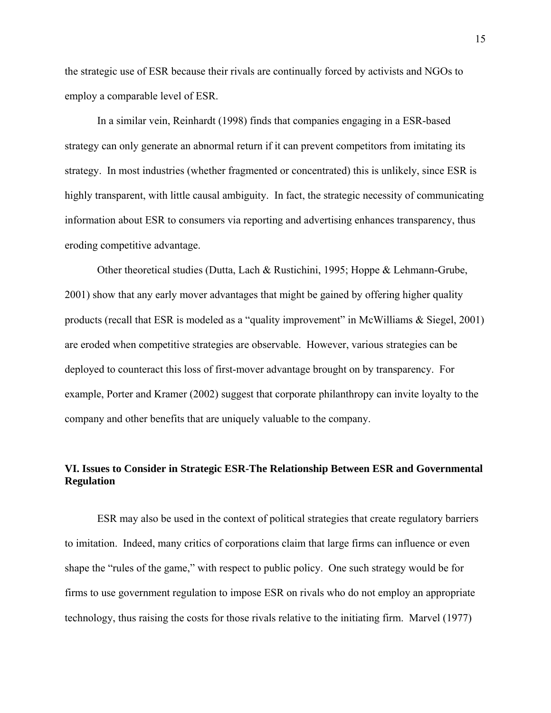the strategic use of ESR because their rivals are continually forced by activists and NGOs to employ a comparable level of ESR.

 In a similar vein, Reinhardt (1998) finds that companies engaging in a ESR-based strategy can only generate an abnormal return if it can prevent competitors from imitating its strategy. In most industries (whether fragmented or concentrated) this is unlikely, since ESR is highly transparent, with little causal ambiguity. In fact, the strategic necessity of communicating information about ESR to consumers via reporting and advertising enhances transparency, thus eroding competitive advantage.

 Other theoretical studies (Dutta, Lach & Rustichini, 1995; Hoppe & Lehmann-Grube, 2001) show that any early mover advantages that might be gained by offering higher quality products (recall that ESR is modeled as a "quality improvement" in McWilliams & Siegel, 2001) are eroded when competitive strategies are observable. However, various strategies can be deployed to counteract this loss of first-mover advantage brought on by transparency. For example, Porter and Kramer (2002) suggest that corporate philanthropy can invite loyalty to the company and other benefits that are uniquely valuable to the company.

# **VI. Issues to Consider in Strategic ESR-The Relationship Between ESR and Governmental Regulation**

ESR may also be used in the context of political strategies that create regulatory barriers to imitation. Indeed, many critics of corporations claim that large firms can influence or even shape the "rules of the game," with respect to public policy. One such strategy would be for firms to use government regulation to impose ESR on rivals who do not employ an appropriate technology, thus raising the costs for those rivals relative to the initiating firm. Marvel (1977)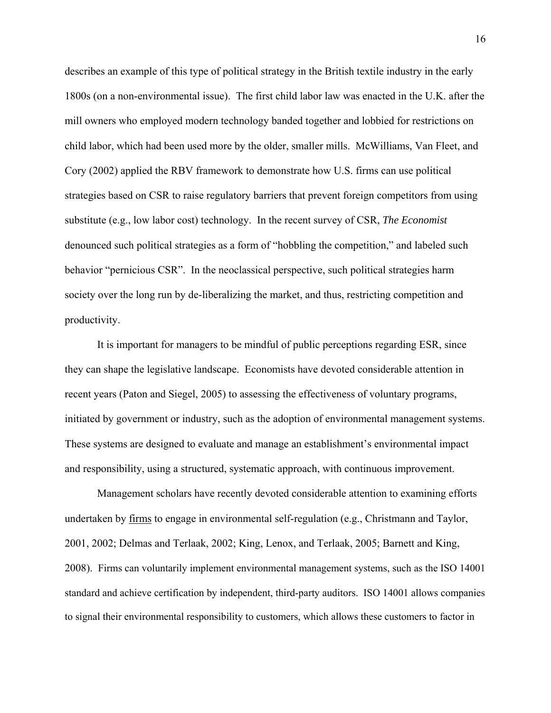describes an example of this type of political strategy in the British textile industry in the early 1800s (on a non-environmental issue). The first child labor law was enacted in the U.K. after the mill owners who employed modern technology banded together and lobbied for restrictions on child labor, which had been used more by the older, smaller mills. McWilliams, Van Fleet, and Cory (2002) applied the RBV framework to demonstrate how U.S. firms can use political strategies based on CSR to raise regulatory barriers that prevent foreign competitors from using substitute (e.g., low labor cost) technology. In the recent survey of CSR, *The Economist* denounced such political strategies as a form of "hobbling the competition," and labeled such behavior "pernicious CSR". In the neoclassical perspective, such political strategies harm society over the long run by de-liberalizing the market, and thus, restricting competition and productivity.

It is important for managers to be mindful of public perceptions regarding ESR, since they can shape the legislative landscape. Economists have devoted considerable attention in recent years (Paton and Siegel, 2005) to assessing the effectiveness of voluntary programs, initiated by government or industry, such as the adoption of environmental management systems. These systems are designed to evaluate and manage an establishment's environmental impact and responsibility, using a structured, systematic approach, with continuous improvement.

Management scholars have recently devoted considerable attention to examining efforts undertaken by firms to engage in environmental self-regulation (e.g., Christmann and Taylor, 2001, 2002; Delmas and Terlaak, 2002; King, Lenox, and Terlaak, 2005; Barnett and King, 2008). Firms can voluntarily implement environmental management systems, such as the ISO 14001 standard and achieve certification by independent, third-party auditors. ISO 14001 allows companies to signal their environmental responsibility to customers, which allows these customers to factor in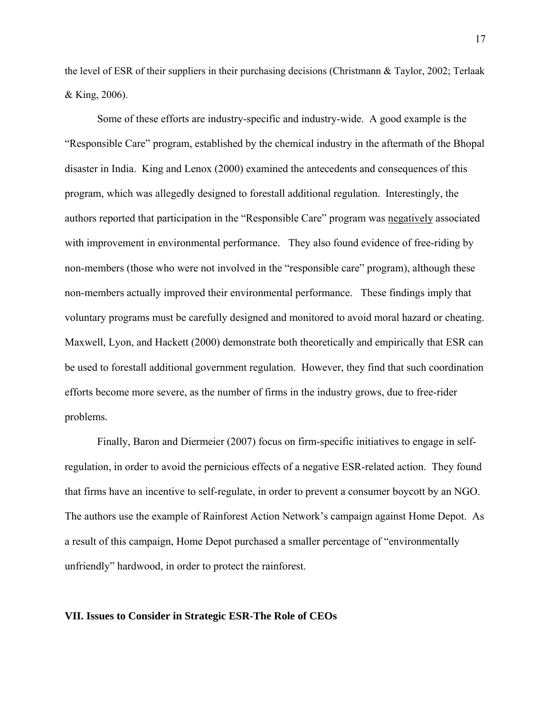the level of ESR of their suppliers in their purchasing decisions (Christmann & Taylor, 2002; Terlaak & King, 2006).

Some of these efforts are industry-specific and industry-wide. A good example is the "Responsible Care" program, established by the chemical industry in the aftermath of the Bhopal disaster in India. King and Lenox (2000) examined the antecedents and consequences of this program, which was allegedly designed to forestall additional regulation. Interestingly, the authors reported that participation in the "Responsible Care" program was negatively associated with improvement in environmental performance. They also found evidence of free-riding by non-members (those who were not involved in the "responsible care" program), although these non-members actually improved their environmental performance. These findings imply that voluntary programs must be carefully designed and monitored to avoid moral hazard or cheating. Maxwell, Lyon, and Hackett (2000) demonstrate both theoretically and empirically that ESR can be used to forestall additional government regulation. However, they find that such coordination efforts become more severe, as the number of firms in the industry grows, due to free-rider problems.

Finally, Baron and Diermeier (2007) focus on firm-specific initiatives to engage in selfregulation, in order to avoid the pernicious effects of a negative ESR-related action. They found that firms have an incentive to self-regulate, in order to prevent a consumer boycott by an NGO. The authors use the example of Rainforest Action Network's campaign against Home Depot. As a result of this campaign, Home Depot purchased a smaller percentage of "environmentally unfriendly" hardwood, in order to protect the rainforest.

#### **VII. Issues to Consider in Strategic ESR-The Role of CEOs**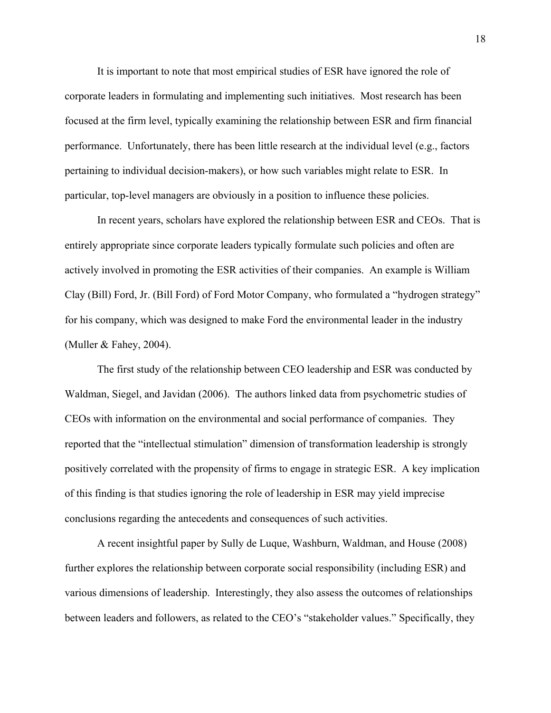It is important to note that most empirical studies of ESR have ignored the role of corporate leaders in formulating and implementing such initiatives. Most research has been focused at the firm level, typically examining the relationship between ESR and firm financial performance. Unfortunately, there has been little research at the individual level (e.g., factors pertaining to individual decision-makers), or how such variables might relate to ESR. In particular, top-level managers are obviously in a position to influence these policies.

 In recent years, scholars have explored the relationship between ESR and CEOs. That is entirely appropriate since corporate leaders typically formulate such policies and often are actively involved in promoting the ESR activities of their companies. An example is William Clay (Bill) Ford, Jr. (Bill Ford) of Ford Motor Company, who formulated a "hydrogen strategy" for his company, which was designed to make Ford the environmental leader in the industry (Muller  $& \text{Fahey}, 2004$ ).

 The first study of the relationship between CEO leadership and ESR was conducted by Waldman, Siegel, and Javidan (2006). The authors linked data from psychometric studies of CEOs with information on the environmental and social performance of companies. They reported that the "intellectual stimulation" dimension of transformation leadership is strongly positively correlated with the propensity of firms to engage in strategic ESR. A key implication of this finding is that studies ignoring the role of leadership in ESR may yield imprecise conclusions regarding the antecedents and consequences of such activities.

 A recent insightful paper by Sully de Luque, Washburn, Waldman, and House (2008) further explores the relationship between corporate social responsibility (including ESR) and various dimensions of leadership. Interestingly, they also assess the outcomes of relationships between leaders and followers, as related to the CEO's "stakeholder values." Specifically, they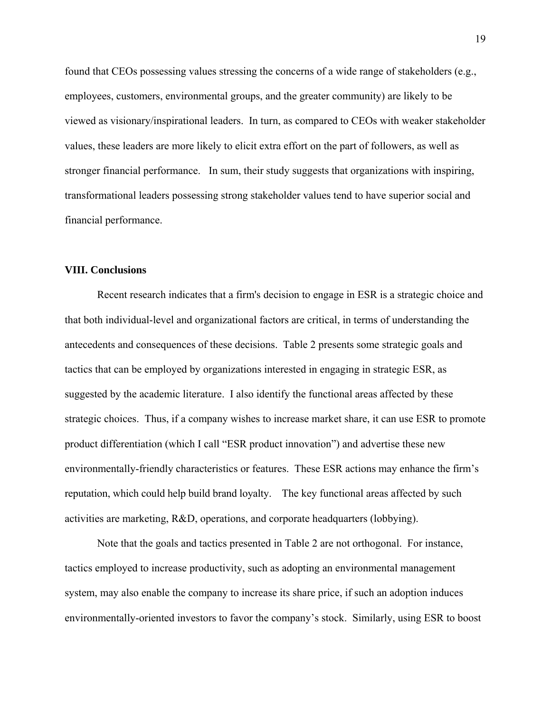found that CEOs possessing values stressing the concerns of a wide range of stakeholders (e.g., employees, customers, environmental groups, and the greater community) are likely to be viewed as visionary/inspirational leaders. In turn, as compared to CEOs with weaker stakeholder values, these leaders are more likely to elicit extra effort on the part of followers, as well as stronger financial performance. In sum, their study suggests that organizations with inspiring, transformational leaders possessing strong stakeholder values tend to have superior social and financial performance.

#### **VIII. Conclusions**

 Recent research indicates that a firm's decision to engage in ESR is a strategic choice and that both individual-level and organizational factors are critical, in terms of understanding the antecedents and consequences of these decisions. Table 2 presents some strategic goals and tactics that can be employed by organizations interested in engaging in strategic ESR, as suggested by the academic literature. I also identify the functional areas affected by these strategic choices. Thus, if a company wishes to increase market share, it can use ESR to promote product differentiation (which I call "ESR product innovation") and advertise these new environmentally-friendly characteristics or features. These ESR actions may enhance the firm's reputation, which could help build brand loyalty. The key functional areas affected by such activities are marketing, R&D, operations, and corporate headquarters (lobbying).

 Note that the goals and tactics presented in Table 2 are not orthogonal. For instance, tactics employed to increase productivity, such as adopting an environmental management system, may also enable the company to increase its share price, if such an adoption induces environmentally-oriented investors to favor the company's stock. Similarly, using ESR to boost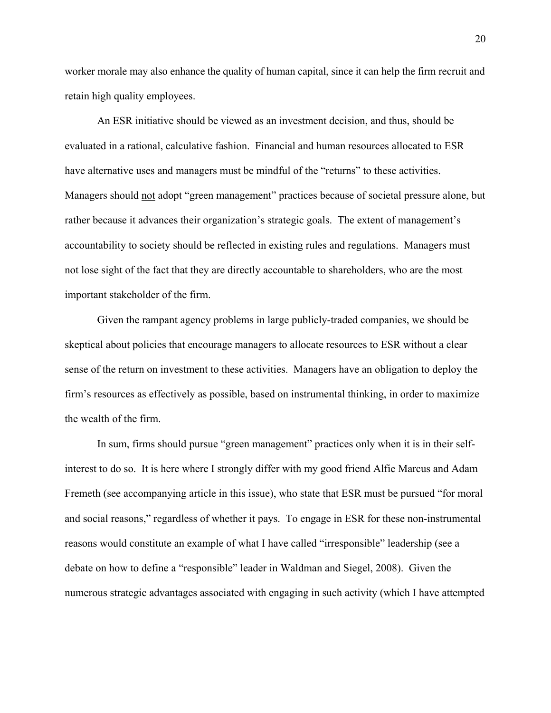worker morale may also enhance the quality of human capital, since it can help the firm recruit and retain high quality employees.

 An ESR initiative should be viewed as an investment decision, and thus, should be evaluated in a rational, calculative fashion. Financial and human resources allocated to ESR have alternative uses and managers must be mindful of the "returns" to these activities. Managers should not adopt "green management" practices because of societal pressure alone, but rather because it advances their organization's strategic goals. The extent of management's accountability to society should be reflected in existing rules and regulations. Managers must not lose sight of the fact that they are directly accountable to shareholders, who are the most important stakeholder of the firm.

 Given the rampant agency problems in large publicly-traded companies, we should be skeptical about policies that encourage managers to allocate resources to ESR without a clear sense of the return on investment to these activities. Managers have an obligation to deploy the firm's resources as effectively as possible, based on instrumental thinking, in order to maximize the wealth of the firm.

 In sum, firms should pursue "green management" practices only when it is in their selfinterest to do so. It is here where I strongly differ with my good friend Alfie Marcus and Adam Fremeth (see accompanying article in this issue), who state that ESR must be pursued "for moral and social reasons," regardless of whether it pays. To engage in ESR for these non-instrumental reasons would constitute an example of what I have called "irresponsible" leadership (see a debate on how to define a "responsible" leader in Waldman and Siegel, 2008). Given the numerous strategic advantages associated with engaging in such activity (which I have attempted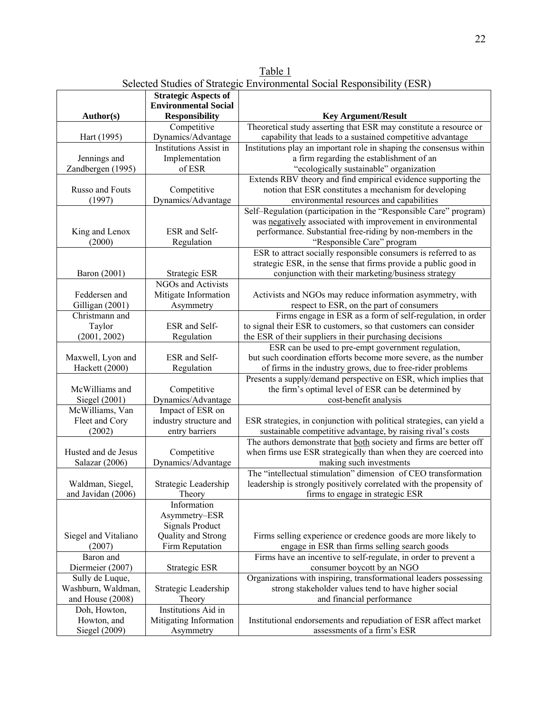Table 1 Selected Studies of Strategic Environmental Social Responsibility (ESR)

|                          | <b>Strategic Aspects of</b><br><b>Environmental Social</b> |                                                                                                                                      |
|--------------------------|------------------------------------------------------------|--------------------------------------------------------------------------------------------------------------------------------------|
| Author(s)                | <b>Responsibility</b>                                      | <b>Key Argument/Result</b>                                                                                                           |
|                          | Competitive                                                | Theoretical study asserting that ESR may constitute a resource or                                                                    |
| Hart (1995)              | Dynamics/Advantage                                         | capability that leads to a sustained competitive advantage                                                                           |
|                          | <b>Institutions Assist in</b>                              | Institutions play an important role in shaping the consensus within                                                                  |
| Jennings and             | Implementation                                             | a firm regarding the establishment of an                                                                                             |
| Zandbergen (1995)        | of ESR                                                     | "ecologically sustainable" organization                                                                                              |
|                          |                                                            | Extends RBV theory and find empirical evidence supporting the                                                                        |
| Russo and Fouts          | Competitive                                                | notion that ESR constitutes a mechanism for developing                                                                               |
| (1997)                   | Dynamics/Advantage                                         | environmental resources and capabilities                                                                                             |
|                          |                                                            | Self-Regulation (participation in the "Responsible Care" program)                                                                    |
|                          |                                                            | was negatively associated with improvement in environmental                                                                          |
| King and Lenox           | ESR and Self-                                              | performance. Substantial free-riding by non-members in the                                                                           |
| (2000)                   | Regulation                                                 | "Responsible Care" program                                                                                                           |
|                          |                                                            | ESR to attract socially responsible consumers is referred to as                                                                      |
|                          |                                                            | strategic ESR, in the sense that firms provide a public good in                                                                      |
| Baron (2001)             | Strategic ESR                                              | conjunction with their marketing/business strategy                                                                                   |
|                          | <b>NGOs and Activists</b>                                  |                                                                                                                                      |
| Feddersen and            | Mitigate Information                                       | Activists and NGOs may reduce information asymmetry, with                                                                            |
| Gilligan (2001)          | Asymmetry                                                  | respect to ESR, on the part of consumers                                                                                             |
| Christmann and           |                                                            | Firms engage in ESR as a form of self-regulation, in order                                                                           |
| Taylor                   | ESR and Self-                                              | to signal their ESR to customers, so that customers can consider                                                                     |
| (2001, 2002)             | Regulation                                                 | the ESR of their suppliers in their purchasing decisions                                                                             |
|                          |                                                            | ESR can be used to pre-empt government regulation,                                                                                   |
| Maxwell, Lyon and        | ESR and Self-                                              | but such coordination efforts become more severe, as the number                                                                      |
| Hackett (2000)           | Regulation                                                 | of firms in the industry grows, due to free-rider problems                                                                           |
|                          |                                                            | Presents a supply/demand perspective on ESR, which implies that                                                                      |
| McWilliams and           | Competitive                                                | the firm's optimal level of ESR can be determined by                                                                                 |
| Siegel (2001)            | Dynamics/Advantage                                         | cost-benefit analysis                                                                                                                |
| McWilliams, Van          | Impact of ESR on                                           |                                                                                                                                      |
| Fleet and Cory<br>(2002) | industry structure and<br>entry barriers                   | ESR strategies, in conjunction with political strategies, can yield a<br>sustainable competitive advantage, by raising rival's costs |
|                          |                                                            | The authors demonstrate that both society and firms are better off                                                                   |
| Husted and de Jesus      | Competitive                                                | when firms use ESR strategically than when they are coerced into                                                                     |
| Salazar (2006)           | Dynamics/Advantage                                         | making such investments                                                                                                              |
|                          |                                                            | The "intellectual stimulation" dimension of CEO transformation                                                                       |
| Waldman, Siegel,         | Strategic Leadership                                       | leadership is strongly positively correlated with the propensity of                                                                  |
| and Javidan (2006)       | Theory                                                     | firms to engage in strategic ESR                                                                                                     |
|                          | Information                                                |                                                                                                                                      |
|                          | Asymmetry-ESR                                              |                                                                                                                                      |
|                          | <b>Signals Product</b>                                     |                                                                                                                                      |
| Siegel and Vitaliano     | Quality and Strong                                         | Firms selling experience or credence goods are more likely to                                                                        |
| (2007)                   | Firm Reputation                                            | engage in ESR than firms selling search goods                                                                                        |
| Baron and                |                                                            | Firms have an incentive to self-regulate, in order to prevent a                                                                      |
| Diermeier (2007)         | Strategic ESR                                              | consumer boycott by an NGO                                                                                                           |
| Sully de Luque,          |                                                            | Organizations with inspiring, transformational leaders possessing                                                                    |
| Washburn, Waldman,       | Strategic Leadership                                       | strong stakeholder values tend to have higher social                                                                                 |
| and House (2008)         | Theory                                                     | and financial performance                                                                                                            |
| Doh, Howton,             | Institutions Aid in                                        |                                                                                                                                      |
| Howton, and              | Mitigating Information                                     | Institutional endorsements and repudiation of ESR affect market                                                                      |
| Siegel (2009)            | Asymmetry                                                  | assessments of a firm's ESR                                                                                                          |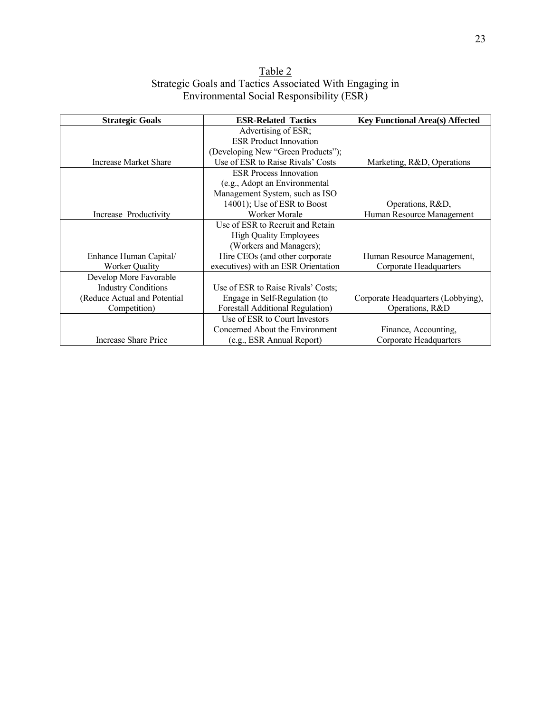| Table 2                                                 |  |  |  |  |
|---------------------------------------------------------|--|--|--|--|
| Strategic Goals and Tactics Associated With Engaging in |  |  |  |  |
| Environmental Social Responsibility (ESR)               |  |  |  |  |

| <b>Strategic Goals</b>       | <b>ESR-Related Tactics</b>               | <b>Key Functional Area(s) Affected</b> |
|------------------------------|------------------------------------------|----------------------------------------|
|                              | Advertising of ESR;                      |                                        |
|                              | <b>ESR Product Innovation</b>            |                                        |
|                              | (Developing New "Green Products");       |                                        |
| Increase Market Share        | Use of ESR to Raise Rivals' Costs        | Marketing, R&D, Operations             |
|                              | <b>ESR</b> Process Innovation            |                                        |
|                              | (e.g., Adopt an Environmental            |                                        |
|                              | Management System, such as ISO           |                                        |
|                              | 14001); Use of ESR to Boost              | Operations, R&D,                       |
| Increase Productivity        | <b>Worker Morale</b>                     | Human Resource Management              |
|                              | Use of ESR to Recruit and Retain         |                                        |
|                              | <b>High Quality Employees</b>            |                                        |
|                              | (Workers and Managers);                  |                                        |
| Enhance Human Capital/       | Hire CEOs (and other corporate           | Human Resource Management,             |
| Worker Quality               | executives) with an ESR Orientation      | Corporate Headquarters                 |
| Develop More Favorable       |                                          |                                        |
| <b>Industry Conditions</b>   | Use of ESR to Raise Rivals' Costs:       |                                        |
| (Reduce Actual and Potential | Engage in Self-Regulation (to            | Corporate Headquarters (Lobbying),     |
| Competition)                 | <b>Forestall Additional Regulation</b> ) | Operations, R&D                        |
|                              | Use of ESR to Court Investors            |                                        |
|                              | Concerned About the Environment          | Finance, Accounting,                   |
| Increase Share Price         | (e.g., ESR Annual Report)                | Corporate Headquarters                 |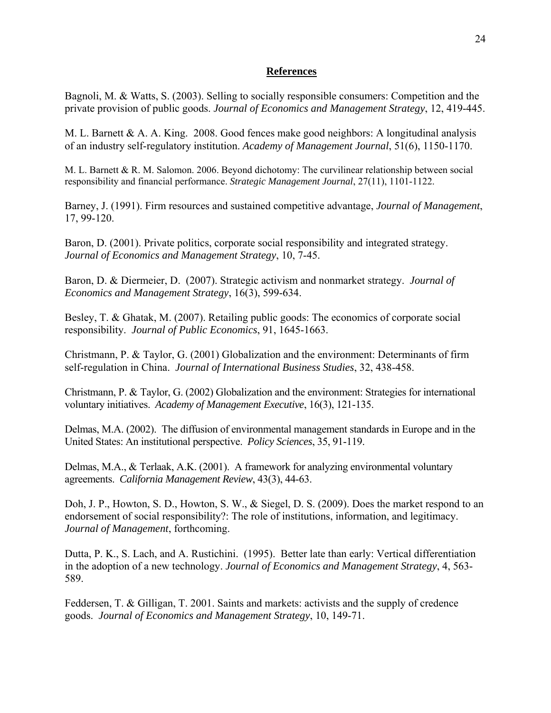## **References**

Bagnoli, M. & Watts, S. (2003). Selling to socially responsible consumers: Competition and the private provision of public goods. *Journal of Economics and Management Strategy*, 12, 419-445.

M. L. Barnett & A. A. King. 2008. Good fences make good neighbors: A longitudinal analysis of an industry self-regulatory institution. *Academy of Management Journal*, 51(6), 1150-1170.

M. L. Barnett & R. M. Salomon. 2006. Beyond dichotomy: The curvilinear relationship between social responsibility and financial performance. *Strategic Management Journal*, 27(11), 1101-1122.

Barney, J. (1991). Firm resources and sustained competitive advantage, *Journal of Management*, 17, 99-120.

Baron, D. (2001). Private politics, corporate social responsibility and integrated strategy. *Journal of Economics and Management Strategy*, 10, 7-45.

Baron, D. & Diermeier, D. (2007). Strategic activism and nonmarket strategy. *Journal of Economics and Management Strategy*, 16(3), 599-634.

Besley, T. & Ghatak, M. (2007). Retailing public goods: The economics of corporate social responsibility. *Journal of Public Economics*, 91, 1645-1663.

Christmann, P. & Taylor, G. (2001) Globalization and the environment: Determinants of firm self-regulation in China. *Journal of International Business Studies*, 32, 438-458.

Christmann, P. & Taylor, G. (2002) Globalization and the environment: Strategies for international voluntary initiatives. *Academy of Management Executive*, 16(3), 121-135.

Delmas, M.A. (2002). The diffusion of environmental management standards in Europe and in the United States: An institutional perspective. *Policy Sciences*, 35, 91-119.

Delmas, M.A., & Terlaak, A.K. (2001). A framework for analyzing environmental voluntary agreements. *California Management Review*, 43(3), 44-63.

Doh, J. P., Howton, S. D., Howton, S. W., & Siegel, D. S. (2009). Does the market respond to an endorsement of social responsibility?: The role of institutions, information, and legitimacy. *Journal of Management*, forthcoming.

Dutta, P. K., S. Lach, and A. Rustichini. (1995). Better late than early: Vertical differentiation in the adoption of a new technology. *Journal of Economics and Management Strategy*, 4, 563- 589.

Feddersen, T. & Gilligan, T. 2001. Saints and markets: activists and the supply of credence goods. *Journal of Economics and Management Strategy*, 10, 149-71.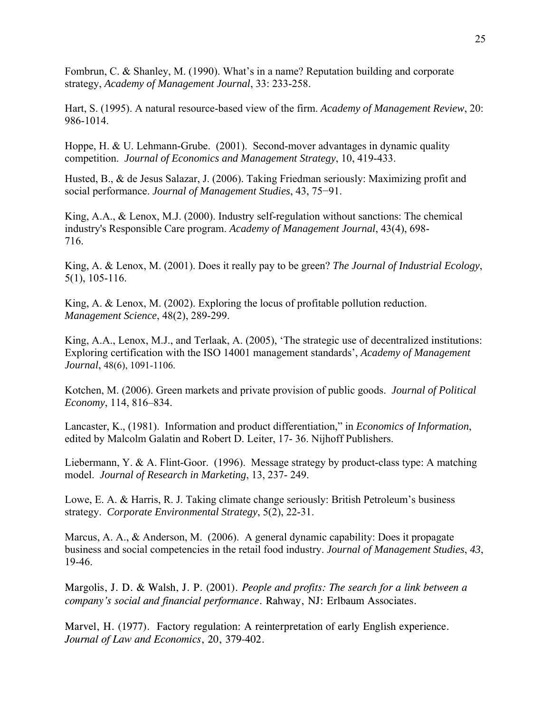Fombrun, C. & Shanley, M. (1990). What's in a name? Reputation building and corporate strategy, *Academy of Management Journal*, 33: 233-258.

Hart, S. (1995). A natural resource-based view of the firm. *Academy of Management Review*, 20: 986-1014.

Hoppe, H. & U. Lehmann-Grube. (2001). Second-mover advantages in dynamic quality competition. *Journal of Economics and Management Strategy*, 10, 419-433.

Husted, B., & de Jesus Salazar, J. (2006). Taking Friedman seriously: Maximizing profit and social performance. *Journal of Management Studies*, 43, 75−91.

King, A.A., & Lenox, M.J. (2000). Industry self-regulation without sanctions: The chemical industry's Responsible Care program. *Academy of Management Journal*, 43(4), 698- 716.

King, A. & Lenox, M. (2001). Does it really pay to be green? *The Journal of Industrial Ecology*, 5(1), 105-116.

King, A. & Lenox, M. (2002). Exploring the locus of profitable pollution reduction. *Management Science*, 48(2), 289-299.

King, A.A., Lenox, M.J., and Terlaak, A. (2005), 'The strategic use of decentralized institutions: Exploring certification with the ISO 14001 management standards', *Academy of Management Journal*, 48(6), 1091-1106.

Kotchen, M. (2006). Green markets and private provision of public goods. *Journal of Political Economy*, 114, 816–834.

Lancaster, K., (1981). Information and product differentiation," in *Economics of Information*, edited by Malcolm Galatin and Robert D. Leiter, 17- 36. Nijhoff Publishers.

Liebermann, Y. & A. Flint-Goor. (1996). Message strategy by product-class type: A matching model. *Journal of Research in Marketing*, 13, 237- 249.

Lowe, E. A. & Harris, R. J. Taking climate change seriously: British Petroleum's business strategy. *Corporate Environmental Strategy*, 5(2), 22-31.

Marcus, A. A., & Anderson, M. (2006). A general dynamic capability: Does it propagate business and social competencies in the retail food industry. *Journal of Management Studies*, *43*, 19-46.

Margolis, J. D. & Walsh, J. P. (2001). *People and profits: The search for a link between a company's social and financial performance*. Rahway, NJ: Erlbaum Associates.

Marvel, H. (1977). Factory regulation: A reinterpretation of early English experience. *Journal of Law and Economics*, 20, 379-402.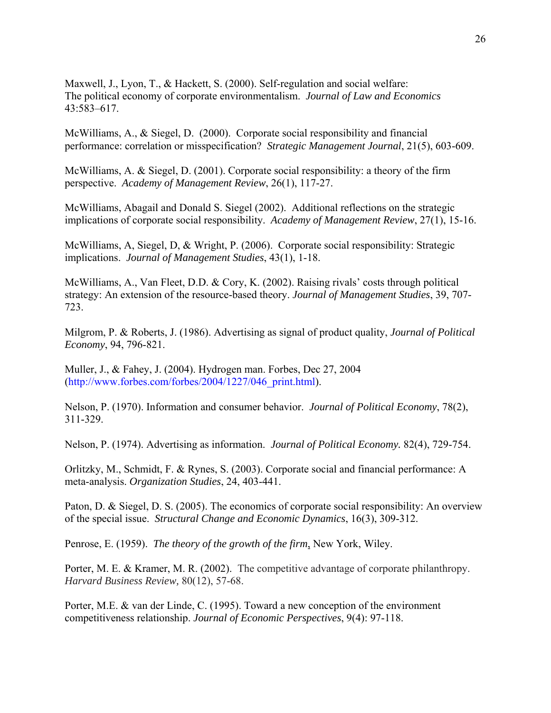Maxwell, J., Lyon, T., & Hackett, S. (2000). Self-regulation and social welfare: The political economy of corporate environmentalism. *Journal of Law and Economics* 43:583–617.

McWilliams, A., & Siegel, D. (2000). Corporate social responsibility and financial performance: correlation or misspecification? *Strategic Management Journal*, 21(5), 603-609.

McWilliams, A. & Siegel, D. (2001). Corporate social responsibility: a theory of the firm perspective. *Academy of Management Review*, 26(1), 117-27.

McWilliams, Abagail and Donald S. Siegel (2002). Additional reflections on the strategic implications of corporate social responsibility. *Academy of Management Review*, 27(1), 15-16.

McWilliams, A, Siegel, D, & Wright, P. (2006). Corporate social responsibility: Strategic implications. *Journal of Management Studies*, 43(1), 1-18.

McWilliams, A., Van Fleet, D.D. & Cory, K. (2002). Raising rivals' costs through political strategy: An extension of the resource-based theory. *Journal of Management Studies*, 39, 707- 723.

Milgrom, P. & Roberts, J. (1986). Advertising as signal of product quality, *Journal of Political Economy*, 94, 796-821.

Muller, J., & Fahey, J. (2004). Hydrogen man. Forbes, Dec 27, 2004 (http://www.forbes.com/forbes/2004/1227/046\_print.html).

Nelson, P. (1970). Information and consumer behavior. *Journal of Political Economy*, 78(2), 311-329.

Nelson, P. (1974). Advertising as information. *Journal of Political Economy.* 82(4), 729-754.

Orlitzky, M., Schmidt, F. & Rynes, S. (2003). Corporate social and financial performance: A meta-analysis. *Organization Studies*, 24, 403-441.

Paton, D. & Siegel, D. S. (2005). The economics of corporate social responsibility: An overview of the special issue. *Structural Change and Economic Dynamics*, 16(3), 309-312.

Penrose, E. (1959). *The theory of the growth of the firm*, New York, Wiley.

Porter, M. E. & Kramer, M. R. (2002). The competitive advantage of corporate philanthropy. *Harvard Business Review,* 80(12), 57-68.

Porter, M.E. & van der Linde, C. (1995). Toward a new conception of the environment competitiveness relationship. *Journal of Economic Perspectives*, 9(4): 97-118.